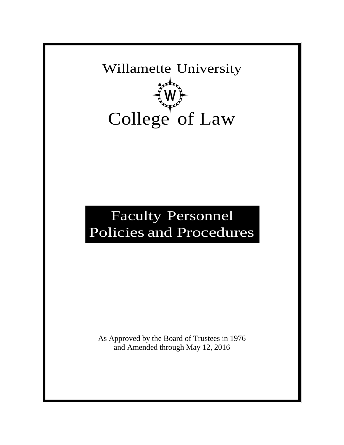Willamette University College<sup>T</sup> of Law

# Faculty Personnel Policies and Procedures

As Approved by the Board of Trustees in 1976 and Amended through May 12, 2016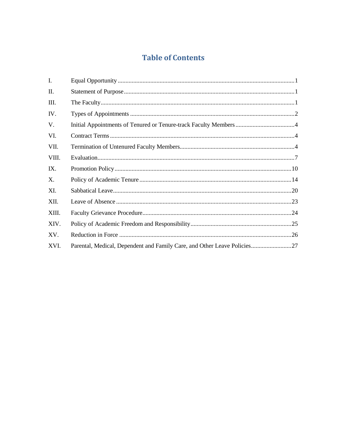# **Table of Contents**

| I.    |                                                                        |  |
|-------|------------------------------------------------------------------------|--|
| П.    |                                                                        |  |
| III.  |                                                                        |  |
| IV.   |                                                                        |  |
| V.    |                                                                        |  |
| VI.   |                                                                        |  |
| VII.  |                                                                        |  |
| VIII. |                                                                        |  |
| IX.   |                                                                        |  |
| X.    |                                                                        |  |
| XI.   |                                                                        |  |
| XII.  |                                                                        |  |
| XIII. |                                                                        |  |
| XIV.  |                                                                        |  |
| XV.   |                                                                        |  |
| XVI.  | Parental, Medical, Dependent and Family Care, and Other Leave Policies |  |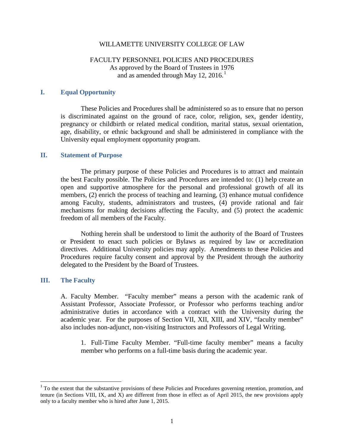#### WILLAMETTE UNIVERSITY COLLEGE OF LAW

# FACULTY PERSONNEL POLICIES AND PROCEDURES As approved by the Board of Trustees in 1976 and as amended through May 12, 2016.<sup>1</sup>

#### **I. Equal Opportunity**

These Policies and Procedures shall be administered so as to ensure that no person is discriminated against on the ground of race, color, religion, sex, gender identity, pregnancy or childbirth or related medical condition, marital status, sexual orientation, age, disability, or ethnic background and shall be administered in compliance with the University equal employment opportunity program.

### **II. Statement of Purpose**

The primary purpose of these Policies and Procedures is to attract and maintain the best Faculty possible. The Policies and Procedures are intended to: (1) help create an open and supportive atmosphere for the personal and professional growth of all its members, (2) enrich the process of teaching and learning, (3) enhance mutual confidence among Faculty, students, administrators and trustees, (4) provide rational and fair mechanisms for making decisions affecting the Faculty, and (5) protect the academic freedom of all members of the Faculty.

Nothing herein shall be understood to limit the authority of the Board of Trustees or President to enact such policies or Bylaws as required by law or accreditation directives. Additional University policies may apply. Amendments to these Policies and Procedures require faculty consent and approval by the President through the authority delegated to the President by the Board of Trustees.

#### **III. The Faculty**

A. Faculty Member. "Faculty member" means a person with the academic rank of Assistant Professor, Associate Professor, or Professor who performs teaching and/or administrative duties in accordance with a contract with the University during the academic year. For the purposes of Section VII, XII, XIII, and XIV, "faculty member" also includes non-adjunct, non-visiting Instructors and Professors of Legal Writing.

1. Full-Time Faculty Member. "Full-time faculty member" means a faculty member who performs on a full-time basis during the academic year.

<sup>&</sup>lt;sup>1</sup> To the extent that the substantive provisions of these Policies and Procedures governing retention, promotion, and tenure (in Sections VIII, IX, and X) are different from those in effect as of April 2015, the new provisions apply only to a faculty member who is hired after June 1, 2015.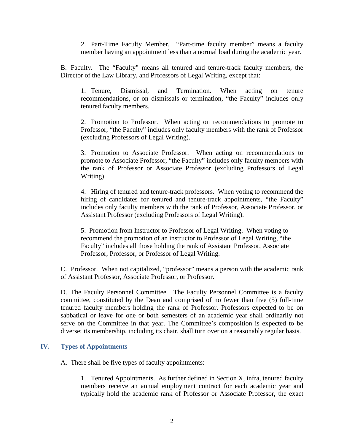2. Part-Time Faculty Member. "Part-time faculty member" means a faculty member having an appointment less than a normal load during the academic year.

B. Faculty. The "Faculty" means all tenured and tenure-track faculty members, the Director of the Law Library, and Professors of Legal Writing, except that:

1. Tenure, Dismissal, and Termination. When acting on tenure recommendations, or on dismissals or termination, "the Faculty" includes only tenured faculty members.

2. Promotion to Professor. When acting on recommendations to promote to Professor, "the Faculty" includes only faculty members with the rank of Professor (excluding Professors of Legal Writing).

3. Promotion to Associate Professor. When acting on recommendations to promote to Associate Professor, "the Faculty" includes only faculty members with the rank of Professor or Associate Professor (excluding Professors of Legal Writing).

4. Hiring of tenured and tenure-track professors. When voting to recommend the hiring of candidates for tenured and tenure-track appointments, "the Faculty" includes only faculty members with the rank of Professor, Associate Professor, or Assistant Professor (excluding Professors of Legal Writing).

5. Promotion from Instructor to Professor of Legal Writing. When voting to recommend the promotion of an instructor to Professor of Legal Writing, "the Faculty" includes all those holding the rank of Assistant Professor, Associate Professor, Professor, or Professor of Legal Writing.

C. Professor. When not capitalized, "professor" means a person with the academic rank of Assistant Professor, Associate Professor, or Professor.

D. The Faculty Personnel Committee. The Faculty Personnel Committee is a faculty committee, constituted by the Dean and comprised of no fewer than five (5) full-time tenured faculty members holding the rank of Professor. Professors expected to be on sabbatical or leave for one or both semesters of an academic year shall ordinarily not serve on the Committee in that year. The Committee's composition is expected to be diverse; its membership, including its chair, shall turn over on a reasonably regular basis.

# **IV. Types of Appointments**

A. There shall be five types of faculty appointments:

1. Tenured Appointments. As further defined in Section X, infra, tenured faculty members receive an annual employment contract for each academic year and typically hold the academic rank of Professor or Associate Professor, the exact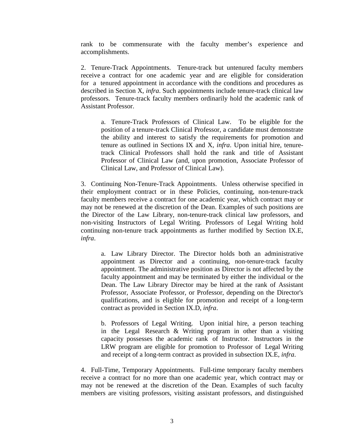rank to be commensurate with the faculty member's experience and accomplishments.

2. Tenure-Track Appointments. Tenure-track but untenured faculty members receive a contract for one academic year and are eligible for consideration for a tenured appointment in accordance with the conditions and procedures as described in Section X, *infra*. Such appointments include tenure-track clinical law professors. Tenure-track faculty members ordinarily hold the academic rank of Assistant Professor.

a. Tenure-Track Professors of Clinical Law. To be eligible for the position of a tenure-track Clinical Professor, a candidate must demonstrate the ability and interest to satisfy the requirements for promotion and tenure as outlined in Sections IX and X, *infra*. Upon initial hire, tenuretrack Clinical Professors shall hold the rank and title of Assistant Professor of Clinical Law (and, upon promotion, Associate Professor of Clinical Law, and Professor of Clinical Law).

3. Continuing Non-Tenure-Track Appointments. Unless otherwise specified in their employment contract or in these Policies, continuing, non-tenure-track faculty members receive a contract for one academic year, which contract may or may not be renewed at the discretion of the Dean. Examples of such positions are the Director of the Law Library, non-tenure-track clinical law professors, and non-visiting Instructors of Legal Writing. Professors of Legal Writing hold continuing non-tenure track appointments as further modified by Section IX.E, *infra*.

a. Law Library Director. The Director holds both an administrative appointment as Director and a continuing, non-tenure-track faculty appointment. The administrative position as Director is not affected by the faculty appointment and may be terminated by either the individual or the Dean. The Law Library Director may be hired at the rank of Assistant Professor, Associate Professor, or Professor, depending on the Director's qualifications, and is eligible for promotion and receipt of a long-term contract as provided in Section IX.D, *infra*.

b. Professors of Legal Writing. Upon initial hire, a person teaching in the Legal Research & Writing program in other than a visiting capacity possesses the academic rank of Instructor. Instructors in the LRW program are eligible for promotion to Professor of Legal Writing and receipt of a long-term contract as provided in subsection IX.E, *infra*.

4. Full-Time, Temporary Appointments. Full-time temporary faculty members receive a contract for no more than one academic year, which contract may or may not be renewed at the discretion of the Dean. Examples of such faculty members are visiting professors, visiting assistant professors, and distinguished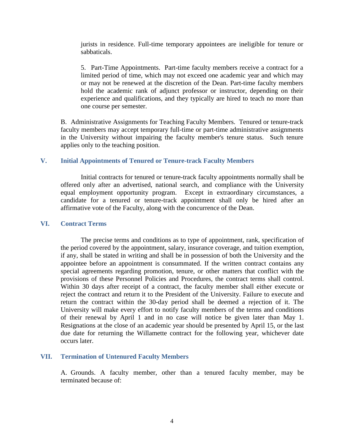jurists in residence. Full-time temporary appointees are ineligible for tenure or sabbaticals.

5. Part-Time Appointments. Part-time faculty members receive a contract for a limited period of time, which may not exceed one academic year and which may or may not be renewed at the discretion of the Dean. Part-time faculty members hold the academic rank of adjunct professor or instructor, depending on their experience and qualifications, and they typically are hired to teach no more than one course per semester.

B. Administrative Assignments for Teaching Faculty Members. Tenured or tenure-track faculty members may accept temporary full-time or part-time administrative assignments in the University without impairing the faculty member's tenure status. Such tenure applies only to the teaching position.

## **V. Initial Appointments of Tenured or Tenure-track Faculty Members**

Initial contracts for tenured or tenure-track faculty appointments normally shall be offered only after an advertised, national search, and compliance with the University equal employment opportunity program. Except in extraordinary circumstances, a candidate for a tenured or tenure-track appointment shall only be hired after an affirmative vote of the Faculty, along with the concurrence of the Dean.

#### **VI. Contract Terms**

The precise terms and conditions as to type of appointment, rank, specification of the period covered by the appointment, salary, insurance coverage, and tuition exemption, if any, shall be stated in writing and shall be in possession of both the University and the appointee before an appointment is consummated. If the written contract contains any special agreements regarding promotion, tenure, or other matters that conflict with the provisions of these Personnel Policies and Procedures, the contract terms shall control. Within 30 days after receipt of a contract, the faculty member shall either execute or reject the contract and return it to the President of the University. Failure to execute and return the contract within the 30-day period shall be deemed a rejection of it. The University will make every effort to notify faculty members of the terms and conditions of their renewal by April 1 and in no case will notice be given later than May 1. Resignations at the close of an academic year should be presented by April 15, or the last due date for returning the Willamette contract for the following year, whichever date occurs later.

## **VII. Termination of Untenured Faculty Members**

A. Grounds. A faculty member, other than a tenured faculty member, may be terminated because of: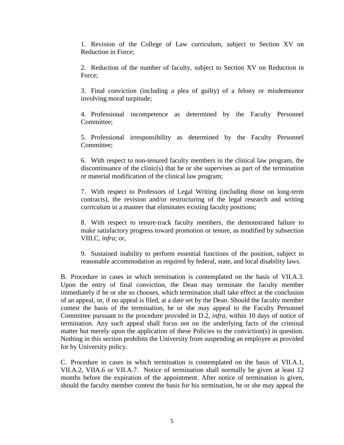1. Revision of the College of Law curriculum, subject to Section XV on Reduction in Force;

2. Reduction of the number of faculty, subject to Section XV on Reduction in Force;

3. Final conviction (including a plea of guilty) of a felony or misdemeanor involving moral turpitude;

4. Professional incompetence as determined by the Faculty Personnel Committee:

5. Professional irresponsibility as determined by the Faculty Personnel Committee;

6. With respect to non-tenured faculty members in the clinical law program, the discontinuance of the clinic(s) that he or she supervises as part of the termination or material modification of the clinical law program;

7. With respect to Professors of Legal Writing (including those on long-term contracts), the revision and/or restructuring of the legal research and writing curriculum in a manner that eliminates existing faculty positions;

8. With respect to tenure-track faculty members, the demonstrated failure to make satisfactory progress toward promotion or tenure, as modified by subsection VIII.C, *infra*; or,

9. Sustained inability to perform essential functions of the position, subject to reasonable accommodation as required by federal, state, and local disability laws.

B. Procedure in cases in which termination is contemplated on the basis of VII.A.3. Upon the entry of final conviction, the Dean may terminate the faculty member immediately if he or she so chooses, which termination shall take effect at the conclusion of an appeal, or, if no appeal is filed, at a date set by the Dean. Should the faculty member contest the basis of the termination, he or she may appeal to the Faculty Personnel Committee pursuant to the procedure provided in D.2, *infra*, within 10 days of notice of termination. Any such appeal shall focus not on the underlying facts of the criminal matter but merely upon the application of these Policies to the conviction(s) in question. Nothing in this section prohibits the University from suspending an employee as provided for by University policy.

C. Procedure in cases in which termination is contemplated on the basis of VII.A.1, VII.A.2, VIIA.6 or VII.A.7. Notice of termination shall normally be given at least 12 months before the expiration of the appointment. After notice of termination is given, should the faculty member contest the basis for his termination, he or she may appeal the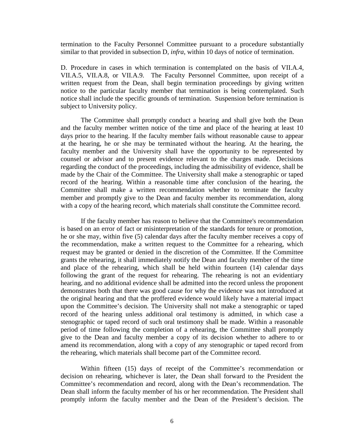termination to the Faculty Personnel Committee pursuant to a procedure substantially similar to that provided in subsection D, *infra*, within 10 days of notice of termination.

D. Procedure in cases in which termination is contemplated on the basis of VII.A.4, VII.A.5, VII.A.8, or VII.A.9. The Faculty Personnel Committee, upon receipt of a written request from the Dean, shall begin termination proceedings by giving written notice to the particular faculty member that termination is being contemplated. Such notice shall include the specific grounds of termination. Suspension before termination is subject to University policy.

The Committee shall promptly conduct a hearing and shall give both the Dean and the faculty member written notice of the time and place of the hearing at least 10 days prior to the hearing. If the faculty member fails without reasonable cause to appear at the hearing, he or she may be terminated without the hearing. At the hearing, the faculty member and the University shall have the opportunity to be represented by counsel or advisor and to present evidence relevant to the charges made. Decisions regarding the conduct of the proceedings, including the admissibility of evidence, shall be made by the Chair of the Committee. The University shall make a stenographic or taped record of the hearing. Within a reasonable time after conclusion of the hearing, the Committee shall make a written recommendation whether to terminate the faculty member and promptly give to the Dean and faculty member its recommendation, along with a copy of the hearing record, which materials shall constitute the Committee record.

If the faculty member has reason to believe that the Committee's recommendation is based on an error of fact or misinterpretation of the standards for tenure or promotion, he or she may, within five (5) calendar days after the faculty member receives a copy of the recommendation, make a written request to the Committee for a rehearing, which request may be granted or denied in the discretion of the Committee. If the Committee grants the rehearing, it shall immediately notify the Dean and faculty member of the time and place of the rehearing, which shall be held within fourteen (14) calendar days following the grant of the request for rehearing. The rehearing is not an evidentiary hearing, and no additional evidence shall be admitted into the record unless the proponent demonstrates both that there was good cause for why the evidence was not introduced at the original hearing and that the proffered evidence would likely have a material impact upon the Committee's decision. The University shall not make a stenographic or taped record of the hearing unless additional oral testimony is admitted, in which case a stenographic or taped record of such oral testimony shall be made. Within a reasonable period of time following the completion of a rehearing, the Committee shall promptly give to the Dean and faculty member a copy of its decision whether to adhere to or amend its recommendation, along with a copy of any stenographic or taped record from the rehearing, which materials shall become part of the Committee record.

Within fifteen (15) days of receipt of the Committee's recommendation or decision on rehearing, whichever is later, the Dean shall forward to the President the Committee's recommendation and record, along with the Dean's recommendation. The Dean shall inform the faculty member of his or her recommendation. The President shall promptly inform the faculty member and the Dean of the President's decision. The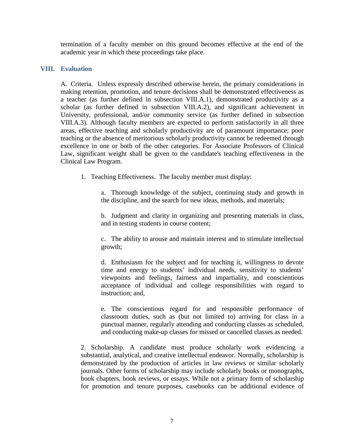termination of a faculty member on this ground becomes effective at the end of the academic year in which these proceedings take place.

# **VIII. Evaluation**

A. Criteria. Unless expressly described otherwise herein, the primary considerations in making retention, promotion, and tenure decisions shall be demonstrated effectiveness as a teacher (as further defined in subsection VIII.A.1), demonstrated productivity as a scholar (as further defined in subsection VIII.A.2), and significant achievement in University, professional, and/or community service (as further defined in subsection VIII.A.3). Although faculty members are expected to perform satisfactorily in all three areas, effective teaching and scholarly productivity are of paramount importance; poor teaching or the absence of meritorious scholarly productivity cannot be redeemed through excellence in one or both of the other categories. For Associate Professors of Clinical Law, significant weight shall be given to the candidate's teaching effectiveness in the Clinical Law Program.

1. Teaching Effectiveness. The faculty member must display:

a. Thorough knowledge of the subject, continuing study and growth in the discipline, and the search for new ideas, methods, and materials;

b. Judgment and clarity in organizing and presenting materials in class, and in testing students in course content;

c. The ability to arouse and maintain interest and to stimulate intellectual growth;

d. Enthusiasm for the subject and for teaching it, willingness to devote time and energy to students' individual needs, sensitivity to students' viewpoints and feelings, fairness and impartiality, and conscientious acceptance of individual and college responsibilities with regard to instruction; and,

e. The conscientious regard for and responsible performance of classroom duties, such as (but not limited to) arriving for class in a punctual manner, regularly attending and conducting classes as scheduled, and conducting make-up classes for missed or cancelled classes as needed.

2. Scholarship. A candidate must produce scholarly work evidencing a substantial, analytical, and creative intellectual endeavor. Normally, scholarship is demonstrated by the production of articles in law reviews or similar scholarly journals. Other forms of scholarship may include scholarly books or monographs, book chapters, book reviews, or essays. While not a primary form of scholarship for promotion and tenure purposes, casebooks can be additional evidence of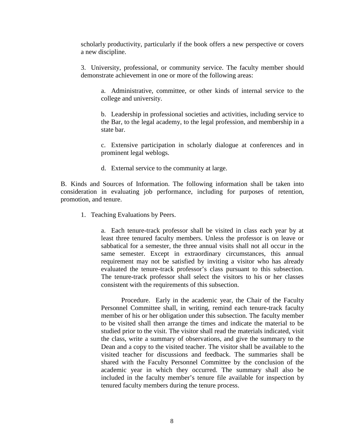scholarly productivity, particularly if the book offers a new perspective or covers a new discipline.

3. University, professional, or community service. The faculty member should demonstrate achievement in one or more of the following areas:

a. Administrative, committee, or other kinds of internal service to the college and university.

b. Leadership in professional societies and activities, including service to the Bar, to the legal academy, to the legal profession, and membership in a state bar.

c. Extensive participation in scholarly dialogue at conferences and in prominent legal weblogs.

d. External service to the community at large.

B. Kinds and Sources of Information. The following information shall be taken into consideration in evaluating job performance, including for purposes of retention, promotion, and tenure.

1. Teaching Evaluations by Peers.

a. Each tenure-track professor shall be visited in class each year by at least three tenured faculty members. Unless the professor is on leave or sabbatical for a semester, the three annual visits shall not all occur in the same semester. Except in extraordinary circumstances, this annual requirement may not be satisfied by inviting a visitor who has already evaluated the tenure-track professor's class pursuant to this subsection. The tenure-track professor shall select the visitors to his or her classes consistent with the requirements of this subsection.

Procedure. Early in the academic year, the Chair of the Faculty Personnel Committee shall, in writing, remind each tenure-track faculty member of his or her obligation under this subsection. The faculty member to be visited shall then arrange the times and indicate the material to be studied prior to the visit. The visitor shall read the materials indicated, visit the class, write a summary of observations, and give the summary to the Dean and a copy to the visited teacher. The visitor shall be available to the visited teacher for discussions and feedback. The summaries shall be shared with the Faculty Personnel Committee by the conclusion of the academic year in which they occurred. The summary shall also be included in the faculty member's tenure file available for inspection by tenured faculty members during the tenure process.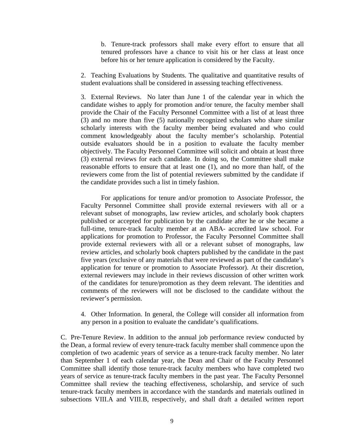b. Tenure-track professors shall make every effort to ensure that all tenured professors have a chance to visit his or her class at least once before his or her tenure application is considered by the Faculty.

2. Teaching Evaluations by Students. The qualitative and quantitative results of student evaluations shall be considered in assessing teaching effectiveness.

3. External Reviews. No later than June 1 of the calendar year in which the candidate wishes to apply for promotion and/or tenure, the faculty member shall provide the Chair of the Faculty Personnel Committee with a list of at least three (3) and no more than five (5) nationally recognized scholars who share similar scholarly interests with the faculty member being evaluated and who could comment knowledgeably about the faculty member's scholarship. Potential outside evaluators should be in a position to evaluate the faculty member objectively. The Faculty Personnel Committee will solicit and obtain at least three (3) external reviews for each candidate. In doing so, the Committee shall make reasonable efforts to ensure that at least one (1), and no more than half, of the reviewers come from the list of potential reviewers submitted by the candidate if the candidate provides such a list in timely fashion.

For applications for tenure and/or promotion to Associate Professor, the Faculty Personnel Committee shall provide external reviewers with all or a relevant subset of monographs, law review articles, and scholarly book chapters published or accepted for publication by the candidate after he or she became a full-time, tenure-track faculty member at an ABA- accredited law school. For applications for promotion to Professor, the Faculty Personnel Committee shall provide external reviewers with all or a relevant subset of monographs, law review articles, and scholarly book chapters published by the candidate in the past five years (exclusive of any materials that were reviewed as part of the candidate's application for tenure or promotion to Associate Professor). At their discretion, external reviewers may include in their reviews discussion of other written work of the candidates for tenure/promotion as they deem relevant. The identities and comments of the reviewers will not be disclosed to the candidate without the reviewer's permission.

4. Other Information. In general, the College will consider all information from any person in a position to evaluate the candidate's qualifications.

C. Pre-Tenure Review. In addition to the annual job performance review conducted by the Dean, a formal review of every tenure-track faculty member shall commence upon the completion of two academic years of service as a tenure-track faculty member. No later than September 1 of each calendar year, the Dean and Chair of the Faculty Personnel Committee shall identify those tenure-track faculty members who have completed two years of service as tenure-track faculty members in the past year. The Faculty Personnel Committee shall review the teaching effectiveness, scholarship, and service of such tenure-track faculty members in accordance with the standards and materials outlined in subsections VIII.A and VIII.B, respectively, and shall draft a detailed written report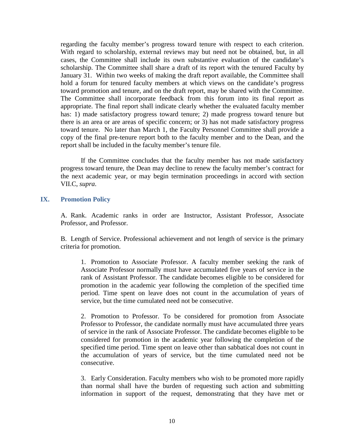regarding the faculty member's progress toward tenure with respect to each criterion. With regard to scholarship, external reviews may but need not be obtained, but, in all cases, the Committee shall include its own substantive evaluation of the candidate's scholarship. The Committee shall share a draft of its report with the tenured Faculty by January 31. Within two weeks of making the draft report available, the Committee shall hold a forum for tenured faculty members at which views on the candidate's progress toward promotion and tenure, and on the draft report, may be shared with the Committee. The Committee shall incorporate feedback from this forum into its final report as appropriate. The final report shall indicate clearly whether the evaluated faculty member has: 1) made satisfactory progress toward tenure; 2) made progress toward tenure but there is an area or are areas of specific concern; or 3) has not made satisfactory progress toward tenure. No later than March 1, the Faculty Personnel Committee shall provide a copy of the final pre-tenure report both to the faculty member and to the Dean, and the report shall be included in the faculty member's tenure file.

If the Committee concludes that the faculty member has not made satisfactory progress toward tenure, the Dean may decline to renew the faculty member's contract for the next academic year, or may begin termination proceedings in accord with section VII.C, *supra*.

## **IX. Promotion Policy**

A. Rank. Academic ranks in order are Instructor, Assistant Professor, Associate Professor, and Professor.

B. Length of Service. Professional achievement and not length of service is the primary criteria for promotion.

1. Promotion to Associate Professor. A faculty member seeking the rank of Associate Professor normally must have accumulated five years of service in the rank of Assistant Professor. The candidate becomes eligible to be considered for promotion in the academic year following the completion of the specified time period. Time spent on leave does not count in the accumulation of years of service, but the time cumulated need not be consecutive.

2. Promotion to Professor. To be considered for promotion from Associate Professor to Professor, the candidate normally must have accumulated three years of service in the rank of Associate Professor. The candidate becomes eligible to be considered for promotion in the academic year following the completion of the specified time period. Time spent on leave other than sabbatical does not count in the accumulation of years of service, but the time cumulated need not be consecutive.

3. Early Consideration. Faculty members who wish to be promoted more rapidly than normal shall have the burden of requesting such action and submitting information in support of the request, demonstrating that they have met or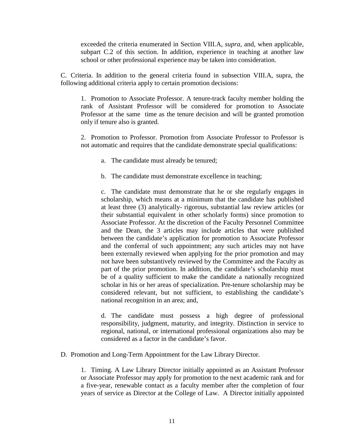exceeded the criteria enumerated in Section VIII.A, *supra*, and, when applicable, subpart C.2 of this section. In addition, experience in teaching at another law school or other professional experience may be taken into consideration.

C. Criteria. In addition to the general criteria found in subsection VIII.A, supra, the following additional criteria apply to certain promotion decisions:

1. Promotion to Associate Professor. A tenure-track faculty member holding the rank of Assistant Professor will be considered for promotion to Associate Professor at the same time as the tenure decision and will be granted promotion only if tenure also is granted.

2. Promotion to Professor. Promotion from Associate Professor to Professor is not automatic and requires that the candidate demonstrate special qualifications:

- a. The candidate must already be tenured;
- b. The candidate must demonstrate excellence in teaching;

c. The candidate must demonstrate that he or she regularly engages in scholarship, which means at a minimum that the candidate has published at least three (3) analytically- rigorous, substantial law review articles (or their substantial equivalent in other scholarly forms) since promotion to Associate Professor. At the discretion of the Faculty Personnel Committee and the Dean, the 3 articles may include articles that were published between the candidate's application for promotion to Associate Professor and the conferral of such appointment; any such articles may not have been externally reviewed when applying for the prior promotion and may not have been substantively reviewed by the Committee and the Faculty as part of the prior promotion. In addition, the candidate's scholarship must be of a quality sufficient to make the candidate a nationally recognized scholar in his or her areas of specialization. Pre-tenure scholarship may be considered relevant, but not sufficient, to establishing the candidate's national recognition in an area; and,

d. The candidate must possess a high degree of professional responsibility, judgment, maturity, and integrity. Distinction in service to regional, national, or international professional organizations also may be considered as a factor in the candidate's favor.

D. Promotion and Long-Term Appointment for the Law Library Director.

1. Timing. A Law Library Director initially appointed as an Assistant Professor or Associate Professor may apply for promotion to the next academic rank and for a five-year, renewable contact as a faculty member after the completion of four years of service as Director at the College of Law. A Director initially appointed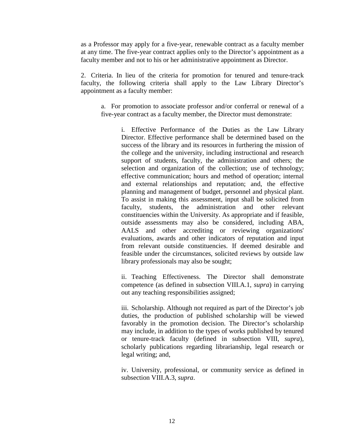as a Professor may apply for a five-year, renewable contract as a faculty member at any time. The five-year contract applies only to the Director's appointment as a faculty member and not to his or her administrative appointment as Director.

2. Criteria. In lieu of the criteria for promotion for tenured and tenure-track faculty, the following criteria shall apply to the Law Library Director's appointment as a faculty member:

a. For promotion to associate professor and/or conferral or renewal of a five-year contract as a faculty member, the Director must demonstrate:

> i. Effective Performance of the Duties as the Law Library Director. Effective performance shall be determined based on the success of the library and its resources in furthering the mission of the college and the university, including instructional and research support of students, faculty, the administration and others; the selection and organization of the collection; use of technology; effective communication; hours and method of operation; internal and external relationships and reputation; and, the effective planning and management of budget, personnel and physical plant. To assist in making this assessment, input shall be solicited from faculty, students, the administration and other relevant constituencies within the University. As appropriate and if feasible, outside assessments may also be considered, including ABA, AALS and other accrediting or reviewing organizations' evaluations, awards and other indicators of reputation and input from relevant outside constituencies. If deemed desirable and feasible under the circumstances, solicited reviews by outside law library professionals may also be sought;

> ii. Teaching Effectiveness. The Director shall demonstrate competence (as defined in subsection VIII.A.1, *supra*) in carrying out any teaching responsibilities assigned;

> iii. Scholarship. Although not required as part of the Director's job duties, the production of published scholarship will be viewed favorably in the promotion decision. The Director's scholarship may include, in addition to the types of works published by tenured or tenure-track faculty (defined in subsection VIII, *supra*), scholarly publications regarding librarianship, legal research or legal writing; and,

> iv. University, professional, or community service as defined in subsection VIII.A.3, *supra*.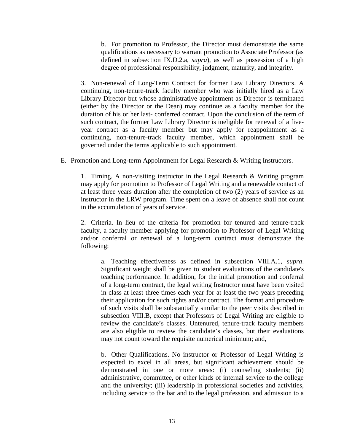b. For promotion to Professor, the Director must demonstrate the same qualifications as necessary to warrant promotion to Associate Professor (as defined in subsection IX.D.2.a, *supra*), as well as possession of a high degree of professional responsibility, judgment, maturity, and integrity.

3. Non-renewal of Long-Term Contract for former Law Library Directors. A continuing, non-tenure-track faculty member who was initially hired as a Law Library Director but whose administrative appointment as Director is terminated (either by the Director or the Dean) may continue as a faculty member for the duration of his or her last- conferred contract. Upon the conclusion of the term of such contract, the former Law Library Director is ineligible for renewal of a fiveyear contract as a faculty member but may apply for reappointment as a continuing, non-tenure-track faculty member, which appointment shall be governed under the terms applicable to such appointment.

E. Promotion and Long-term Appointment for Legal Research & Writing Instructors.

1. Timing. A non-visiting instructor in the Legal Research & Writing program may apply for promotion to Professor of Legal Writing and a renewable contact of at least three years duration after the completion of two (2) years of service as an instructor in the LRW program. Time spent on a leave of absence shall not count in the accumulation of years of service.

2. Criteria. In lieu of the criteria for promotion for tenured and tenure-track faculty, a faculty member applying for promotion to Professor of Legal Writing and/or conferral or renewal of a long-term contract must demonstrate the following:

a. Teaching effectiveness as defined in subsection VIII.A.1, *supra*. Significant weight shall be given to student evaluations of the candidate's teaching performance. In addition, for the initial promotion and conferral of a long-term contract, the legal writing Instructor must have been visited in class at least three times each year for at least the two years preceding their application for such rights and/or contract. The format and procedure of such visits shall be substantially similar to the peer visits described in subsection VIII.B, except that Professors of Legal Writing are eligible to review the candidate's classes. Untenured, tenure-track faculty members are also eligible to review the candidate's classes, but their evaluations may not count toward the requisite numerical minimum; and,

b. Other Qualifications. No instructor or Professor of Legal Writing is expected to excel in all areas, but significant achievement should be demonstrated in one or more areas: (i) counseling students; (ii) administrative, committee, or other kinds of internal service to the college and the university; (iii) leadership in professional societies and activities, including service to the bar and to the legal profession, and admission to a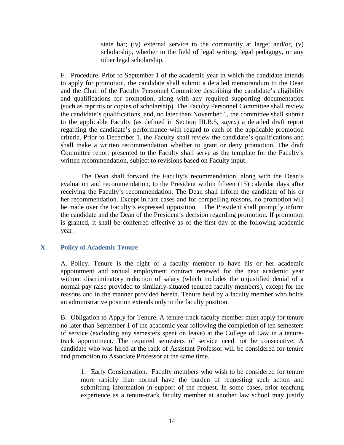state bar; (iv) external service to the community at large; and/or, (v) scholarship, whether in the field of legal writing, legal pedagogy, or any other legal scholarship.

F. Procedure. Prior to September 1 of the academic year in which the candidate intends to apply for promotion, the candidate shall submit a detailed memorandum to the Dean and the Chair of the Faculty Personnel Committee describing the candidate's eligibility and qualifications for promotion, along with any required supporting documentation (such as reprints or copies of scholarship). The Faculty Personnel Committee shall review the candidate's qualifications, and, no later than November 1, the committee shall submit to the applicable Faculty (as defined in Section III.B.5, *supra*) a detailed draft report regarding the candidate's performance with regard to each of the applicable promotion criteria. Prior to December 1, the Faculty shall review the candidate's qualifications and shall make a written recommendation whether to grant or deny promotion. The draft Committee report presented to the Faculty shall serve as the template for the Faculty's written recommendation, subject to revisions based on Faculty input.

The Dean shall forward the Faculty's recommendation, along with the Dean's evaluation and recommendation, to the President within fifteen (15) calendar days after receiving the Faculty's recommendation. The Dean shall inform the candidate of his or her recommendation. Except in rare cases and for compelling reasons, no promotion will be made over the Faculty's expressed opposition. The President shall promptly inform the candidate and the Dean of the President's decision regarding promotion. If promotion is granted, it shall be conferred effective as of the first day of the following academic year.

## **X. Policy of Academic Tenure**

A. Policy. Tenure is the right of a faculty member to have his or her academic appointment and annual employment contract renewed for the next academic year without discriminatory reduction of salary (which includes the unjustified denial of a normal pay raise provided to similarly-situated tenured faculty members), except for the reasons and in the manner provided herein. Tenure held by a faculty member who holds an administrative position extends only to the faculty position.

B. Obligation to Apply for Tenure. A tenure-track faculty member must apply for tenure no later than September 1 of the academic year following the completion of ten semesters of service (excluding any semesters spent on leave) at the College of Law in a tenuretrack appointment. The required semesters of service need not be consecutive. A candidate who was hired at the rank of Assistant Professor will be considered for tenure and promotion to Associate Professor at the same time.

1. Early Consideration. Faculty members who wish to be considered for tenure more rapidly than normal have the burden of requesting such action and submitting information in support of the request. In some cases, prior teaching experience as a tenure-track faculty member at another law school may justify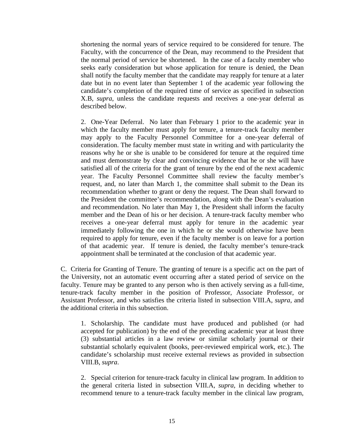shortening the normal years of service required to be considered for tenure. The Faculty, with the concurrence of the Dean, may recommend to the President that the normal period of service be shortened. In the case of a faculty member who seeks early consideration but whose application for tenure is denied, the Dean shall notify the faculty member that the candidate may reapply for tenure at a later date but in no event later than September 1 of the academic year following the candidate's completion of the required time of service as specified in subsection X.B, *supra*, unless the candidate requests and receives a one-year deferral as described below.

2. One-Year Deferral. No later than February 1 prior to the academic year in which the faculty member must apply for tenure, a tenure-track faculty member may apply to the Faculty Personnel Committee for a one-year deferral of consideration. The faculty member must state in writing and with particularity the reasons why he or she is unable to be considered for tenure at the required time and must demonstrate by clear and convincing evidence that he or she will have satisfied all of the criteria for the grant of tenure by the end of the next academic year. The Faculty Personnel Committee shall review the faculty member's request, and, no later than March 1, the committee shall submit to the Dean its recommendation whether to grant or deny the request. The Dean shall forward to the President the committee's recommendation, along with the Dean's evaluation and recommendation. No later than May 1, the President shall inform the faculty member and the Dean of his or her decision. A tenure-track faculty member who receives a one-year deferral must apply for tenure in the academic year immediately following the one in which he or she would otherwise have been required to apply for tenure, even if the faculty member is on leave for a portion of that academic year. If tenure is denied, the faculty member's tenure-track appointment shall be terminated at the conclusion of that academic year.

C. Criteria for Granting of Tenure. The granting of tenure is a specific act on the part of the University, not an automatic event occurring after a stated period of service on the faculty. Tenure may be granted to any person who is then actively serving as a full-time, tenure-track faculty member in the position of Professor, Associate Professor, or Assistant Professor, and who satisfies the criteria listed in subsection VIII.A, *supra*, and the additional criteria in this subsection.

1. Scholarship. The candidate must have produced and published (or had accepted for publication) by the end of the preceding academic year at least three (3) substantial articles in a law review or similar scholarly journal or their substantial scholarly equivalent (books, peer-reviewed empirical work, etc.). The candidate's scholarship must receive external reviews as provided in subsection VIII.B, *supra*.

2. Special criterion for tenure-track faculty in clinical law program. In addition to the general criteria listed in subsection VIII.A, *supra*, in deciding whether to recommend tenure to a tenure-track faculty member in the clinical law program,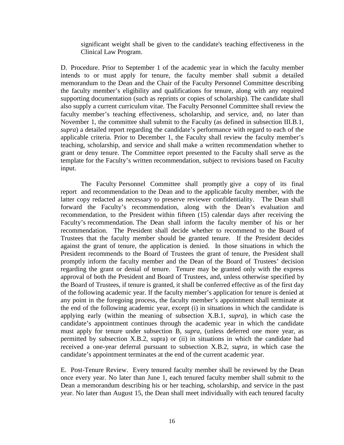significant weight shall be given to the candidate's teaching effectiveness in the Clinical Law Program.

D. Procedure. Prior to September 1 of the academic year in which the faculty member intends to or must apply for tenure, the faculty member shall submit a detailed memorandum to the Dean and the Chair of the Faculty Personnel Committee describing the faculty member's eligibility and qualifications for tenure, along with any required supporting documentation (such as reprints or copies of scholarship). The candidate shall also supply a current curriculum vitae. The Faculty Personnel Committee shall review the faculty member's teaching effectiveness, scholarship, and service, and, no later than November 1, the committee shall submit to the Faculty (as defined in subsection III.B.1, *supra*) a detailed report regarding the candidate's performance with regard to each of the applicable criteria. Prior to December 1, the Faculty shall review the faculty member's teaching, scholarship, and service and shall make a written recommendation whether to grant or deny tenure. The Committee report presented to the Faculty shall serve as the template for the Faculty's written recommendation, subject to revisions based on Faculty input.

The Faculty Personnel Committee shall promptly give a copy of its final report and recommendation to the Dean and to the applicable faculty member, with the latter copy redacted as necessary to preserve reviewer confidentiality. The Dean shall forward the Faculty's recommendation, along with the Dean's evaluation and recommendation, to the President within fifteen (15) calendar days after receiving the Faculty's recommendation. The Dean shall inform the faculty member of his or her recommendation. The President shall decide whether to recommend to the Board of Trustees that the faculty member should be granted tenure. If the President decides against the grant of tenure, the application is denied. In those situations in which the President recommends to the Board of Trustees the grant of tenure, the President shall promptly inform the faculty member and the Dean of the Board of Trustees' decision regarding the grant or denial of tenure. Tenure may be granted only with the express approval of both the President and Board of Trustees, and, unless otherwise specified by the Board of Trustees, if tenure is granted, it shall be conferred effective as of the first day of the following academic year. If the faculty member's application for tenure is denied at any point in the foregoing process, the faculty member's appointment shall terminate at the end of the following academic year, except (i) in situations in which the candidate is applying early (within the meaning of subsection X.B.1, *supra*), in which case the candidate's appointment continues through the academic year in which the candidate must apply for tenure under subsection B, *supra*, (unless deferred one more year, as permitted by subsection X.B.2, supra) or (ii) in situations in which the candidate had received a one-year deferral pursuant to subsection X.B.2, *supra*, in which case the candidate's appointment terminates at the end of the current academic year.

E. Post-Tenure Review. Every tenured faculty member shall be reviewed by the Dean once every year. No later than June 1, each tenured faculty member shall submit to the Dean a memorandum describing his or her teaching, scholarship, and service in the past year. No later than August 15, the Dean shall meet individually with each tenured faculty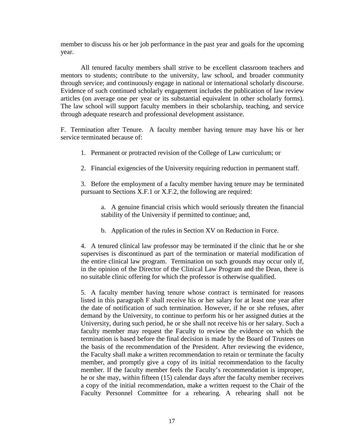member to discuss his or her job performance in the past year and goals for the upcoming year.

All tenured faculty members shall strive to be excellent classroom teachers and mentors to students; contribute to the university, law school, and broader community through service; and continuously engage in national or international scholarly discourse. Evidence of such continued scholarly engagement includes the publication of law review articles (on average one per year or its substantial equivalent in other scholarly forms). The law school will support faculty members in their scholarship, teaching, and service through adequate research and professional development assistance.

F. Termination after Tenure. A faculty member having tenure may have his or her service terminated because of:

- 1. Permanent or protracted revision of the College of Law curriculum; or
- 2. Financial exigencies of the University requiring reduction in permanent staff.

3. Before the employment of a faculty member having tenure may be terminated pursuant to Sections X.F.1 or X.F.2, the following are required:

a. A genuine financial crisis which would seriously threaten the financial stability of the University if permitted to continue; and,

b. Application of the rules in Section XV on Reduction in Force.

4. A tenured clinical law professor may be terminated if the clinic that he or she supervises is discontinued as part of the termination or material modification of the entire clinical law program. Termination on such grounds may occur only if, in the opinion of the Director of the Clinical Law Program and the Dean, there is no suitable clinic offering for which the professor is otherwise qualified.

5. A faculty member having tenure whose contract is terminated for reasons listed in this paragraph F shall receive his or her salary for at least one year after the date of notification of such termination. However, if he or she refuses, after demand by the University, to continue to perform his or her assigned duties at the University, during such period, he or she shall not receive his or her salary. Such a faculty member may request the Faculty to review the evidence on which the termination is based before the final decision is made by the Board of Trustees on the basis of the recommendation of the President. After reviewing the evidence, the Faculty shall make a written recommendation to retain or terminate the faculty member, and promptly give a copy of its initial recommendation to the faculty member. If the faculty member feels the Faculty's recommendation is improper, he or she may, within fifteen (15) calendar days after the faculty member receives a copy of the initial recommendation, make a written request to the Chair of the Faculty Personnel Committee for a rehearing. A rehearing shall not be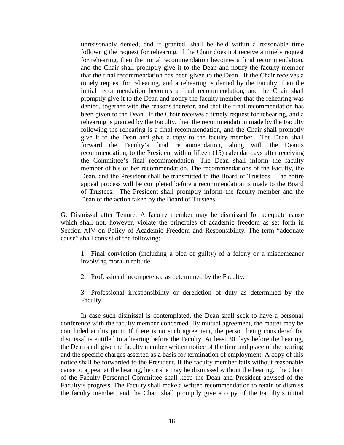unreasonably denied, and if granted, shall be held within a reasonable time following the request for rehearing. If the Chair does not receive a timely request for rehearing, then the initial recommendation becomes a final recommendation, and the Chair shall promptly give it to the Dean and notify the faculty member that the final recommendation has been given to the Dean. If the Chair receives a timely request for rehearing, and a rehearing is denied by the Faculty, then the initial recommendation becomes a final recommendation, and the Chair shall promptly give it to the Dean and notify the faculty member that the rehearing was denied, together with the reasons therefor, and that the final recommendation has been given to the Dean. If the Chair receives a timely request for rehearing, and a rehearing is granted by the Faculty, then the recommendation made by the Faculty following the rehearing is a final recommendation, and the Chair shall promptly give it to the Dean and give a copy to the faculty member. The Dean shall forward the Faculty's final recommendation, along with the Dean's recommendation, to the President within fifteen (15) calendar days after receiving the Committee's final recommendation. The Dean shall inform the faculty member of his or her recommendation. The recommendations of the Faculty, the Dean, and the President shall be transmitted to the Board of Trustees. The entire appeal process will be completed before a recommendation is made to the Board of Trustees. The President shall promptly inform the faculty member and the Dean of the action taken by the Board of Trustees.

G. Dismissal after Tenure. A faculty member may be dismissed for adequate cause which shall not, however, violate the principles of academic freedom as set forth in Section XIV on Policy of Academic Freedom and Responsibility. The term "adequate cause" shall consist of the following:

1. Final conviction (including a plea of guilty) of a felony or a misdemeanor involving moral turpitude.

2. Professional incompetence as determined by the Faculty.

3. Professional irresponsibility or dereliction of duty as determined by the Faculty.

In case such dismissal is contemplated, the Dean shall seek to have a personal conference with the faculty member concerned. By mutual agreement, the matter may be concluded at this point. If there is no such agreement, the person being considered for dismissal is entitled to a hearing before the Faculty. At least 30 days before the hearing, the Dean shall give the faculty member written notice of the time and place of the hearing and the specific charges asserted as a basis for termination of employment. A copy of this notice shall be forwarded to the President. If the faculty member fails without reasonable cause to appear at the hearing, he or she may be dismissed without the hearing. The Chair of the Faculty Personnel Committee shall keep the Dean and President advised of the Faculty's progress. The Faculty shall make a written recommendation to retain or dismiss the faculty member, and the Chair shall promptly give a copy of the Faculty's initial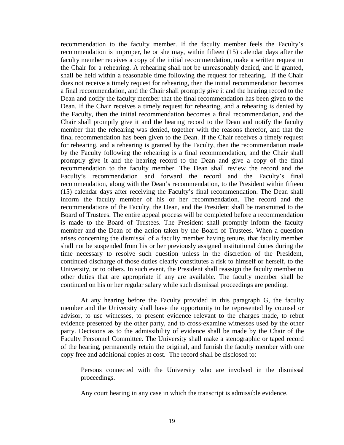recommendation to the faculty member. If the faculty member feels the Faculty's recommendation is improper, he or she may, within fifteen (15) calendar days after the faculty member receives a copy of the initial recommendation, make a written request to the Chair for a rehearing. A rehearing shall not be unreasonably denied, and if granted, shall be held within a reasonable time following the request for rehearing. If the Chair does not receive a timely request for rehearing, then the initial recommendation becomes a final recommendation, and the Chair shall promptly give it and the hearing record to the Dean and notify the faculty member that the final recommendation has been given to the Dean. If the Chair receives a timely request for rehearing, and a rehearing is denied by the Faculty, then the initial recommendation becomes a final recommendation, and the Chair shall promptly give it and the hearing record to the Dean and notify the faculty member that the rehearing was denied, together with the reasons therefor, and that the final recommendation has been given to the Dean. If the Chair receives a timely request for rehearing, and a rehearing is granted by the Faculty, then the recommendation made by the Faculty following the rehearing is a final recommendation, and the Chair shall promptly give it and the hearing record to the Dean and give a copy of the final recommendation to the faculty member. The Dean shall review the record and the Faculty's recommendation and forward the record and the Faculty's final recommendation, along with the Dean's recommendation, to the President within fifteen (15) calendar days after receiving the Faculty's final recommendation. The Dean shall inform the faculty member of his or her recommendation. The record and the recommendations of the Faculty, the Dean, and the President shall be transmitted to the Board of Trustees. The entire appeal process will be completed before a recommendation is made to the Board of Trustees. The President shall promptly inform the faculty member and the Dean of the action taken by the Board of Trustees. When a question arises concerning the dismissal of a faculty member having tenure, that faculty member shall not be suspended from his or her previously assigned institutional duties during the time necessary to resolve such question unless in the discretion of the President, continued discharge of those duties clearly constitutes a risk to himself or herself, to the University, or to others. In such event, the President shall reassign the faculty member to other duties that are appropriate if any are available. The faculty member shall be continued on his or her regular salary while such dismissal proceedings are pending.

At any hearing before the Faculty provided in this paragraph G, the faculty member and the University shall have the opportunity to be represented by counsel or advisor, to use witnesses, to present evidence relevant to the charges made, to rebut evidence presented by the other party, and to cross-examine witnesses used by the other party. Decisions as to the admissibility of evidence shall be made by the Chair of the Faculty Personnel Committee. The University shall make a stenographic or taped record of the hearing, permanently retain the original, and furnish the faculty member with one copy free and additional copies at cost. The record shall be disclosed to:

Persons connected with the University who are involved in the dismissal proceedings.

Any court hearing in any case in which the transcript is admissible evidence.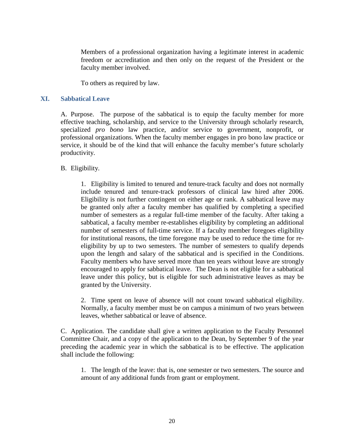Members of a professional organization having a legitimate interest in academic freedom or accreditation and then only on the request of the President or the faculty member involved.

To others as required by law.

#### **XI. Sabbatical Leave**

A. Purpose. The purpose of the sabbatical is to equip the faculty member for more effective teaching, scholarship, and service to the University through scholarly research, specialized *pro bono* law practice, and/or service to government, nonprofit, or professional organizations. When the faculty member engages in pro bono law practice or service, it should be of the kind that will enhance the faculty member's future scholarly productivity.

## B. Eligibility.

1. Eligibility is limited to tenured and tenure-track faculty and does not normally include tenured and tenure-track professors of clinical law hired after 2006. Eligibility is not further contingent on either age or rank. A sabbatical leave may be granted only after a faculty member has qualified by completing a specified number of semesters as a regular full-time member of the faculty. After taking a sabbatical, a faculty member re-establishes eligibility by completing an additional number of semesters of full-time service. If a faculty member foregoes eligibility for institutional reasons, the time foregone may be used to reduce the time for reeligibility by up to two semesters. The number of semesters to qualify depends upon the length and salary of the sabbatical and is specified in the Conditions. Faculty members who have served more than ten years without leave are strongly encouraged to apply for sabbatical leave. The Dean is not eligible for a sabbatical leave under this policy, but is eligible for such administrative leaves as may be granted by the University.

2. Time spent on leave of absence will not count toward sabbatical eligibility. Normally, a faculty member must be on campus a minimum of two years between leaves, whether sabbatical or leave of absence.

C. Application. The candidate shall give a written application to the Faculty Personnel Committee Chair, and a copy of the application to the Dean, by September 9 of the year preceding the academic year in which the sabbatical is to be effective. The application shall include the following:

1. The length of the leave: that is, one semester or two semesters. The source and amount of any additional funds from grant or employment.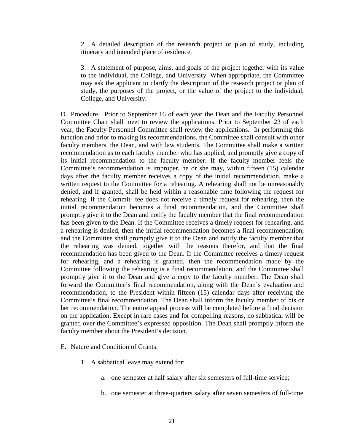2. A detailed description of the research project or plan of study, including itinerary and intended place of residence.

3. A statement of purpose, aims, and goals of the project together with its value to the individual, the College, and University. When appropriate, the Committee may ask the applicant to clarify the description of the research project or plan of study, the purposes of the project, or the value of the project to the individual, College, and University.

D. Procedure. Prior to September 16 of each year the Dean and the Faculty Personnel Committee Chair shall meet to review the applications. Prior to September 23 of each year, the Faculty Personnel Committee shall review the applications. In performing this function and prior to making its recommendations, the Committee shall consult with other faculty members, the Dean, and with law students. The Committee shall make a written recommendation as to each faculty member who has applied, and promptly give a copy of its initial recommendation to the faculty member. If the faculty member feels the Committee's recommendation is improper, he or she may, within fifteen (15) calendar days after the faculty member receives a copy of the initial recommendation, make a written request to the Committee for a rehearing. A rehearing shall not be unreasonably denied, and if granted, shall be held within a reasonable time following the request for rehearing. If the Commit- tee does not receive a timely request for rehearing, then the initial recommendation becomes a final recommendation, and the Committee shall promptly give it to the Dean and notify the faculty member that the final recommendation has been given to the Dean. If the Committee receives a timely request for rehearing, and a rehearing is denied, then the initial recommendation becomes a final recommendation, and the Committee shall promptly give it to the Dean and notify the faculty member that the rehearing was denied, together with the reasons therefor, and that the final recommendation has been given to the Dean. If the Committee receives a timely request for rehearing, and a rehearing is granted, then the recommendation made by the Committee following the rehearing is a final recommendation, and the Committee shall promptly give it to the Dean and give a copy to the faculty member. The Dean shall forward the Committee's final recommendation, along with the Dean's evaluation and recommendation, to the President within fifteen (15) calendar days after receiving the Committee's final recommendation. The Dean shall inform the faculty member of his or her recommendation. The entire appeal process will be completed before a final decision on the application. Except in rare cases and for compelling reasons, no sabbatical will be granted over the Committee's expressed opposition. The Dean shall promptly inform the faculty member about the President's decision.

- E. Nature and Condition of Grants.
	- 1. A sabbatical leave may extend for:
		- a. one semester at half salary after six semesters of full-time service;
		- b. one semester at three-quarters salary after seven semesters of full-time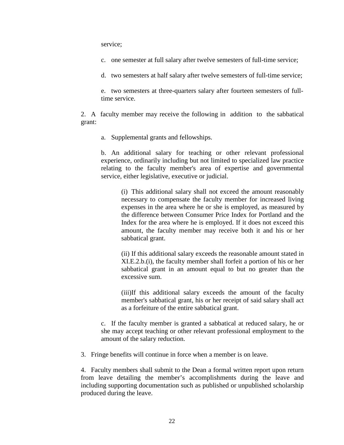service;

c. one semester at full salary after twelve semesters of full-time service;

d. two semesters at half salary after twelve semesters of full-time service;

e. two semesters at three-quarters salary after fourteen semesters of fulltime service.

2. A faculty member may receive the following in addition to the sabbatical grant:

a. Supplemental grants and fellowships.

b. An additional salary for teaching or other relevant professional experience, ordinarily including but not limited to specialized law practice relating to the faculty member's area of expertise and governmental service, either legislative, executive or judicial.

(i) This additional salary shall not exceed the amount reasonably necessary to compensate the faculty member for increased living expenses in the area where he or she is employed, as measured by the difference between Consumer Price Index for Portland and the Index for the area where he is employed. If it does not exceed this amount, the faculty member may receive both it and his or her sabbatical grant.

(ii) If this additional salary exceeds the reasonable amount stated in XI.E.2.b.(i), the faculty member shall forfeit a portion of his or her sabbatical grant in an amount equal to but no greater than the excessive sum.

(iii)If this additional salary exceeds the amount of the faculty member's sabbatical grant, his or her receipt of said salary shall act as a forfeiture of the entire sabbatical grant.

c. If the faculty member is granted a sabbatical at reduced salary, he or she may accept teaching or other relevant professional employment to the amount of the salary reduction.

3. Fringe benefits will continue in force when a member is on leave.

4. Faculty members shall submit to the Dean a formal written report upon return from leave detailing the member's accomplishments during the leave and including supporting documentation such as published or unpublished scholarship produced during the leave.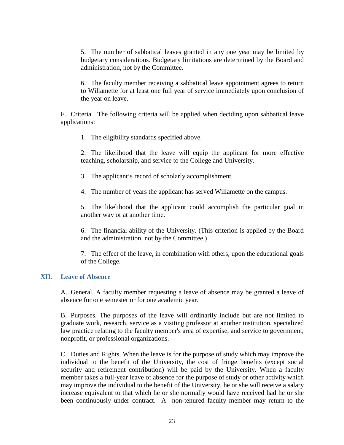5. The number of sabbatical leaves granted in any one year may be limited by budgetary considerations. Budgetary limitations are determined by the Board and administration, not by the Committee.

6. The faculty member receiving a sabbatical leave appointment agrees to return to Willamette for at least one full year of service immediately upon conclusion of the year on leave.

F. Criteria. The following criteria will be applied when deciding upon sabbatical leave applications:

1. The eligibility standards specified above.

2. The likelihood that the leave will equip the applicant for more effective teaching, scholarship, and service to the College and University.

3. The applicant's record of scholarly accomplishment.

4. The number of years the applicant has served Willamette on the campus.

5. The likelihood that the applicant could accomplish the particular goal in another way or at another time.

6. The financial ability of the University. (This criterion is applied by the Board and the administration, not by the Committee.)

7. The effect of the leave, in combination with others, upon the educational goals of the College.

#### **XII. Leave of Absence**

A. General. A faculty member requesting a leave of absence may be granted a leave of absence for one semester or for one academic year.

B. Purposes. The purposes of the leave will ordinarily include but are not limited to graduate work, research, service as a visiting professor at another institution, specialized law practice relating to the faculty member's area of expertise, and service to government, nonprofit, or professional organizations.

C. Duties and Rights. When the leave is for the purpose of study which may improve the individual to the benefit of the University, the cost of fringe benefits (except social security and retirement contribution) will be paid by the University. When a faculty member takes a full-year leave of absence for the purpose of study or other activity which may improve the individual to the benefit of the University, he or she will receive a salary increase equivalent to that which he or she normally would have received had he or she been continuously under contract. A non-tenured faculty member may return to the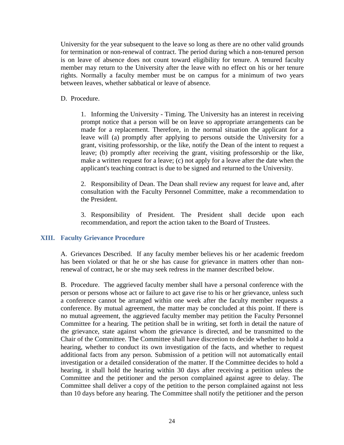University for the year subsequent to the leave so long as there are no other valid grounds for termination or non-renewal of contract. The period during which a non-tenured person is on leave of absence does not count toward eligibility for tenure. A tenured faculty member may return to the University after the leave with no effect on his or her tenure rights. Normally a faculty member must be on campus for a minimum of two years between leaves, whether sabbatical or leave of absence.

## D. Procedure.

1. Informing the University - Timing. The University has an interest in receiving prompt notice that a person will be on leave so appropriate arrangements can be made for a replacement. Therefore, in the normal situation the applicant for a leave will (a) promptly after applying to persons outside the University for a grant, visiting professorship, or the like, notify the Dean of the intent to request a leave; (b) promptly after receiving the grant, visiting professorship or the like, make a written request for a leave; (c) not apply for a leave after the date when the applicant's teaching contract is due to be signed and returned to the University.

2. Responsibility of Dean. The Dean shall review any request for leave and, after consultation with the Faculty Personnel Committee, make a recommendation to the President.

3. Responsibility of President. The President shall decide upon each recommendation, and report the action taken to the Board of Trustees.

## **XIII. Faculty Grievance Procedure**

A. Grievances Described. If any faculty member believes his or her academic freedom has been violated or that he or she has cause for grievance in matters other than nonrenewal of contract, he or she may seek redress in the manner described below.

B. Procedure. The aggrieved faculty member shall have a personal conference with the person or persons whose act or failure to act gave rise to his or her grievance, unless such a conference cannot be arranged within one week after the faculty member requests a conference. By mutual agreement, the matter may be concluded at this point. If there is no mutual agreement, the aggrieved faculty member may petition the Faculty Personnel Committee for a hearing. The petition shall be in writing, set forth in detail the nature of the grievance, state against whom the grievance is directed, and be transmitted to the Chair of the Committee. The Committee shall have discretion to decide whether to hold a hearing, whether to conduct its own investigation of the facts, and whether to request additional facts from any person. Submission of a petition will not automatically entail investigation or a detailed consideration of the matter. If the Committee decides to hold a hearing, it shall hold the hearing within 30 days after receiving a petition unless the Committee and the petitioner and the person complained against agree to delay. The Committee shall deliver a copy of the petition to the person complained against not less than 10 days before any hearing. The Committee shall notify the petitioner and the person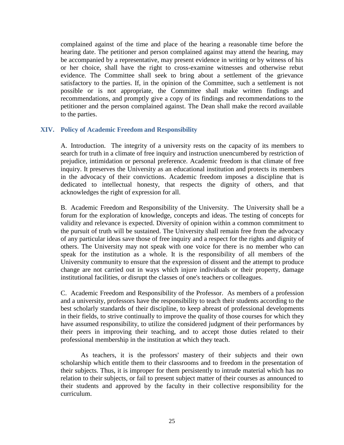complained against of the time and place of the hearing a reasonable time before the hearing date. The petitioner and person complained against may attend the hearing, may be accompanied by a representative, may present evidence in writing or by witness of his or her choice, shall have the right to cross-examine witnesses and otherwise rebut evidence. The Committee shall seek to bring about a settlement of the grievance satisfactory to the parties. If, in the opinion of the Committee, such a settlement is not possible or is not appropriate, the Committee shall make written findings and recommendations, and promptly give a copy of its findings and recommendations to the petitioner and the person complained against. The Dean shall make the record available to the parties.

## **XIV. Policy of Academic Freedom and Responsibility**

A. Introduction. The integrity of a university rests on the capacity of its members to search for truth in a climate of free inquiry and instruction unencumbered by restriction of prejudice, intimidation or personal preference. Academic freedom is that climate of free inquiry. It preserves the University as an educational institution and protects its members in the advocacy of their convictions. Academic freedom imposes a discipline that is dedicated to intellectual honesty, that respects the dignity of others, and that acknowledges the right of expression for all.

B. Academic Freedom and Responsibility of the University. The University shall be a forum for the exploration of knowledge, concepts and ideas. The testing of concepts for validity and relevance is expected. Diversity of opinion within a common commitment to the pursuit of truth will be sustained. The University shall remain free from the advocacy of any particular ideas save those of free inquiry and a respect for the rights and dignity of others. The University may not speak with one voice for there is no member who can speak for the institution as a whole. It is the responsibility of all members of the University community to ensure that the expression of dissent and the attempt to produce change are not carried out in ways which injure individuals or their property, damage institutional facilities, or disrupt the classes of one's teachers or colleagues.

C. Academic Freedom and Responsibility of the Professor. As members of a profession and a university, professors have the responsibility to teach their students according to the best scholarly standards of their discipline, to keep abreast of professional developments in their fields, to strive continually to improve the quality of those courses for which they have assumed responsibility, to utilize the considered judgment of their performances by their peers in improving their teaching, and to accept those duties related to their professional membership in the institution at which they teach.

As teachers, it is the professors' mastery of their subjects and their own scholarship which entitle them to their classrooms and to freedom in the presentation of their subjects. Thus, it is improper for them persistently to intrude material which has no relation to their subjects, or fail to present subject matter of their courses as announced to their students and approved by the faculty in their collective responsibility for the curriculum.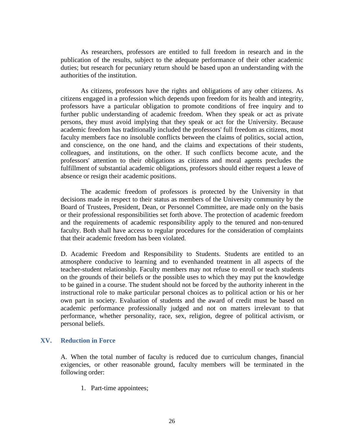As researchers, professors are entitled to full freedom in research and in the publication of the results, subject to the adequate performance of their other academic duties; but research for pecuniary return should be based upon an understanding with the authorities of the institution.

As citizens, professors have the rights and obligations of any other citizens. As citizens engaged in a profession which depends upon freedom for its health and integrity, professors have a particular obligation to promote conditions of free inquiry and to further public understanding of academic freedom. When they speak or act as private persons, they must avoid implying that they speak or act for the University. Because academic freedom has traditionally included the professors' full freedom as citizens, most faculty members face no insoluble conflicts between the claims of politics, social action, and conscience, on the one hand, and the claims and expectations of their students, colleagues, and institutions, on the other. If such conflicts become acute, and the professors' attention to their obligations as citizens and moral agents precludes the fulfillment of substantial academic obligations, professors should either request a leave of absence or resign their academic positions.

The academic freedom of professors is protected by the University in that decisions made in respect to their status as members of the University community by the Board of Trustees, President, Dean, or Personnel Committee, are made only on the basis or their professional responsibilities set forth above. The protection of academic freedom and the requirements of academic responsibility apply to the tenured and non-tenured faculty. Both shall have access to regular procedures for the consideration of complaints that their academic freedom has been violated.

D. Academic Freedom and Responsibility to Students. Students are entitled to an atmosphere conducive to learning and to evenhanded treatment in all aspects of the teacher-student relationship. Faculty members may not refuse to enroll or teach students on the grounds of their beliefs or the possible uses to which they may put the knowledge to be gained in a course. The student should not be forced by the authority inherent in the instructional role to make particular personal choices as to political action or his or her own part in society. Evaluation of students and the award of credit must be based on academic performance professionally judged and not on matters irrelevant to that performance, whether personality, race, sex, religion, degree of political activism, or personal beliefs.

## **XV. Reduction in Force**

A. When the total number of faculty is reduced due to curriculum changes, financial exigencies, or other reasonable ground, faculty members will be terminated in the following order:

1. Part-time appointees;